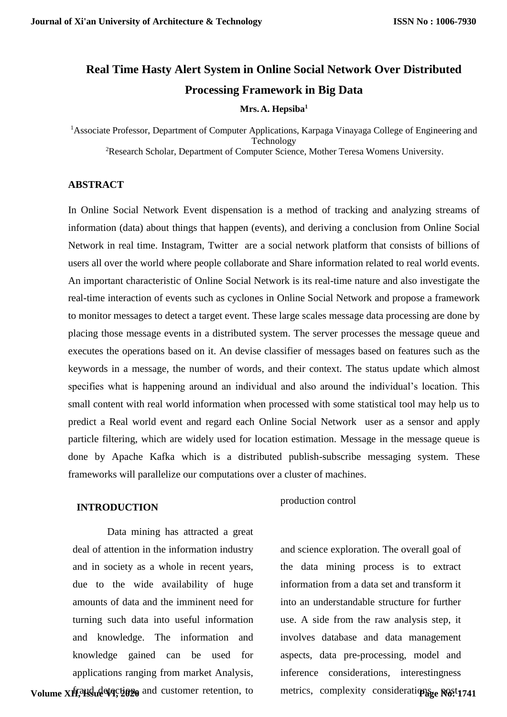# **Real Time Hasty Alert System in Online Social Network Over Distributed Processing Framework in Big Data**

#### **Mrs. A. Hepsiba<sup>1</sup>**

<sup>1</sup> Associate Professor, Department of Computer Applications, Karpaga Vinayaga College of Engineering and Technology <sup>2</sup>Research Scholar, Department of Computer Science, Mother Teresa Womens University.

### **ABSTRACT**

In Online Social Network Event dispensation is a method of tracking and analyzing streams of information (data) about things that happen (events), and deriving a conclusion from Online Social Network in real time. Instagram, Twitter are a social network platform that consists of billions of users all over the world where people collaborate and Share information related to real world events. An important characteristic of Online Social Network is its real-time nature and also investigate the real-time interaction of events such as cyclones in Online Social Network and propose a framework to monitor messages to detect a target event. These large scales message data processing are done by placing those message events in a distributed system. The server processes the message queue and executes the operations based on it. An devise classifier of messages based on features such as the keywords in a message, the number of words, and their context. The status update which almost specifies what is happening around an individual and also around the individual's location. This small content with real world information when processed with some statistical tool may help us to predict a Real world event and regard each Online Social Network user as a sensor and apply particle filtering, which are widely used for location estimation. Message in the message queue is done by Apache Kafka which is a distributed publish-subscribe messaging system. These frameworks will parallelize our computations over a cluster of machines.

#### **INTRODUCTION**

production control

Data mining has attracted a great deal of attention in the information industry and in society as a whole in recent years, due to the wide availability of huge amounts of data and the imminent need for turning such data into useful information and knowledge. The information and knowledge gained can be used for applications ranging from market Analysis,

Volume XII, and detaction and customer retention, to

and science exploration. The overall goal of the data mining process is to extract information from a data set and transform it into an understandable structure for further use. A side from the raw analysis step, it involves database and [data management](http://en.wikipedia.org/wiki/Data_management) aspects, [data pre-processing,](http://en.wikipedia.org/wiki/Data_pre-processing) [model](http://en.wikipedia.org/wiki/Statistical_model) and [inference](http://en.wikipedia.org/wiki/Statistical_inference) considerations, interestingness metrics, [complexity](http://en.wikipedia.org/wiki/Computational_complexity_theory) considerations post-1741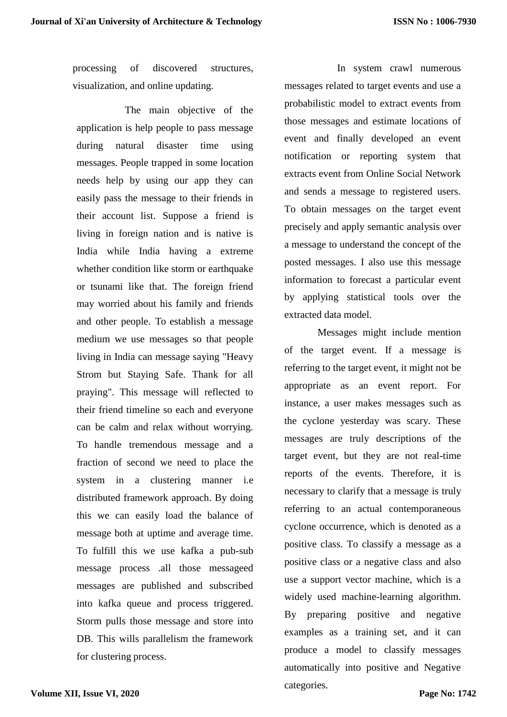processing of discovered structures, [visualization,](http://en.wikipedia.org/wiki/Data_visualization) and online [updating.](http://en.wikipedia.org/wiki/Online_algorithm)

The main objective of the application is help people to pass message during natural disaster time using messages. People trapped in some location needs help by using our app they can easily pass the message to their friends in their account list. Suppose a friend is living in foreign nation and is native is India while India having a extreme whether condition like storm or earthquake or tsunami like that. The foreign friend may worried about his family and friends and other people. To establish a message medium we use messages so that people living in India can message saying "Heavy Strom but Staying Safe. Thank for all praying". This message will reflected to their friend timeline so each and everyone can be calm and relax without worrying. To handle tremendous message and a fraction of second we need to place the system in a clustering manner i.e distributed framework approach. By doing this we can easily load the balance of message both at uptime and average time. To fulfill this we use kafka a pub-sub message process .all those messageed messages are published and subscribed into kafka queue and process triggered. Storm pulls those message and store into DB. This wills parallelism the framework for clustering process.

In system crawl numerous messages related to target events and use a probabilistic model to extract events from those messages and estimate locations of event and finally developed an event notification or reporting system that extracts event from Online Social Network and sends a message to registered users. To obtain messages on the target event precisely and apply semantic analysis over a message to understand the concept of the posted messages. I also use this message information to forecast a particular event by applying statistical tools over the extracted data model.

Messages might include mention of the target event. If a message is referring to the target event, it might not be appropriate as an event report. For instance, a user makes messages such as the cyclone yesterday was scary. These messages are truly descriptions of the target event, but they are not real-time reports of the events. Therefore, it is necessary to clarify that a message is truly referring to an actual contemporaneous cyclone occurrence, which is denoted as a positive class. To classify a message as a positive class or a negative class and also use a support vector machine, which is a widely used machine-learning algorithm. By preparing positive and negative examples as a training set, and it can produce a model to classify messages automatically into positive and Negative categories.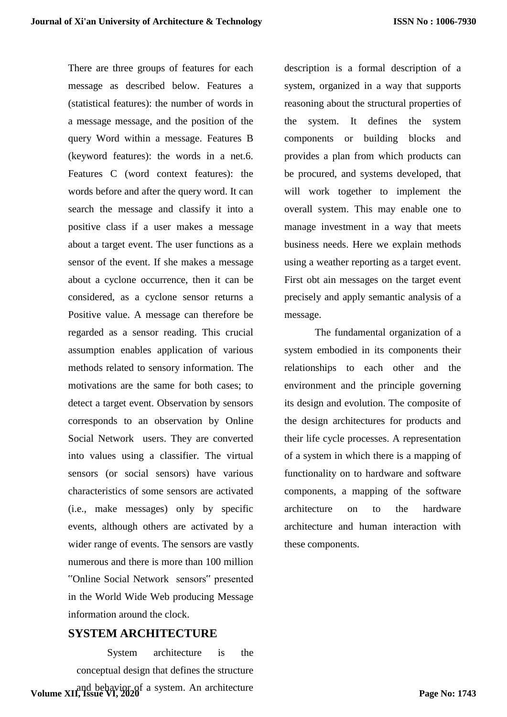There are three groups of features for each message as described below. Features a (statistical features): the number of words in a message message, and the position of the query Word within a message. Features B (keyword features): the words in a net.6. Features C (word context features): the words before and after the query word. It can search the message and classify it into a positive class if a user makes a message about a target event. The user functions as a sensor of the event. If she makes a message about a cyclone occurrence, then it can be considered, as a cyclone sensor returns a Positive value. A message can therefore be regarded as a sensor reading. This crucial assumption enables application of various methods related to sensory information. The motivations are the same for both cases; to detect a target event. Observation by sensors corresponds to an observation by Online Social Network users. They are converted into values using a classifier. The virtual sensors (or social sensors) have various characteristics of some sensors are activated (i.e., make messages) only by specific events, although others are activated by a wider range of events. The sensors are vastly numerous and there is more than 100 million "Online Social Network sensors" presented in the World Wide Web producing Message information around the clock.

### **SYSTEM ARCHITECTURE**

System architecture is the conceptual design that defines the structure **Volume XII, Issue VI, 2020** a system. An architecture description is a formal description of a system, organized in a way that supports reasoning about the structural properties of the system. It defines the system components or building blocks and provides a plan from which products can be procured, and systems developed, that will work together to implement the overall system. This may enable one to manage investment in a way that meets business needs. Here we explain methods using a weather reporting as a target event. First obt ain messages on the target event precisely and apply semantic analysis of a message.

The fundamental organization of a system embodied in its components their relationships to each other and the environment and the principle governing its design and evolution. The composite of the design architectures for products and their life cycle processes. A representation of a system in which there is a mapping of functionality on to hardware and software components, a mapping of the software architecture on to the hardware architecture and human interaction with these components.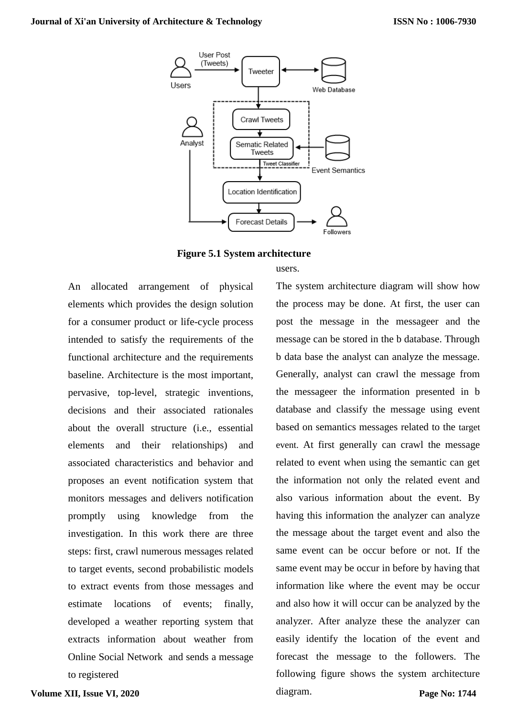



An allocated arrangement of physical elements which provides the design solution for a consumer product or life-cycle process intended to satisfy the requirements of the functional architecture and the requirements baseline. Architecture is the most important, pervasive, top-level, strategic inventions, decisions and their associated rationales about the overall structure (i.e., essential elements and their relationships) and associated characteristics and behavior and

proposes an event notification system that monitors messages and delivers notification promptly using knowledge from the investigation. In this work there are three steps: first, crawl numerous messages related to target events, second probabilistic models to extract events from those messages and estimate locations of events; finally, developed a weather reporting system that extracts information about weather from Online Social Network and sends a message users. The system architecture diagram will show how

the process may be done. At first, the user can post the message in the messageer and the message can be stored in the b database. Through b data base the analyst can analyze the message. Generally, analyst can crawl the message from the messageer the information presented in b database and classify the message using event based on semantics messages related to the target event. At first generally can crawl the message related to event when using the semantic can get the information not only the related event and also various information about the event. By having this information the analyzer can analyze the message about the target event and also the same event can be occur before or not. If the same event may be occur in before by having that information like where the event may be occur and also how it will occur can be analyzed by the analyzer. After analyze these the analyzer can easily identify the location of the event and forecast the message to the followers. The following figure shows the system architecture diagram. **Page No: 1744**

to registered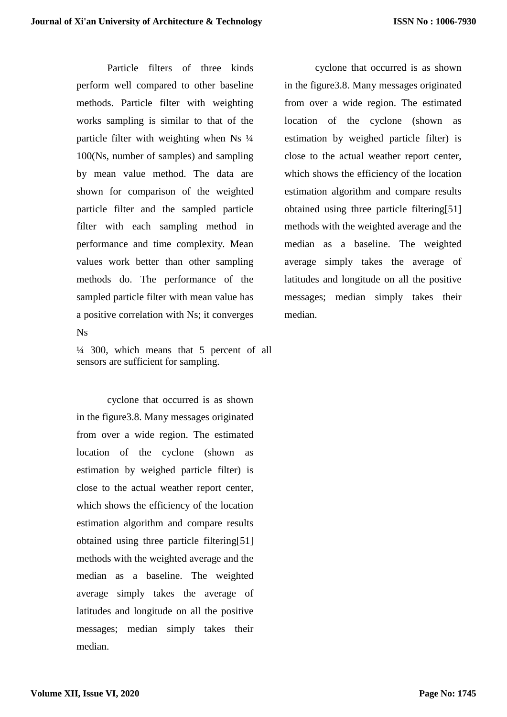Particle filters of three kinds perform well compared to other baseline methods. Particle filter with weighting works sampling is similar to that of the particle filter with weighting when  $Ns$   $\frac{1}{4}$ 100(Ns, number of samples) and sampling by mean value method. The data are shown for comparison of the weighted particle filter and the sampled particle filter with each sampling method in performance and time complexity. Mean values work better than other sampling methods do. The performance of the sampled particle filter with mean value has a positive correlation with Ns; it converges Ns

 $\frac{1}{4}$  300, which means that 5 percent of all sensors are sufficient for sampling.

cyclone that occurred is as shown in the figure3.8. Many messages originated from over a wide region. The estimated location of the cyclone (shown as estimation by weighed particle filter) is close to the actual weather report center, which shows the efficiency of the location estimation algorithm and compare results obtained using three particle filtering[51] methods with the weighted average and the median as a baseline. The weighted average simply takes the average of latitudes and longitude on all the positive messages; median simply takes their median.

cyclone that occurred is as shown in the figure3.8. Many messages originated from over a wide region. The estimated location of the cyclone (shown as estimation by weighed particle filter) is close to the actual weather report center, which shows the efficiency of the location estimation algorithm and compare results obtained using three particle filtering[51] methods with the weighted average and the median as a baseline. The weighted average simply takes the average of latitudes and longitude on all the positive messages; median simply takes their median.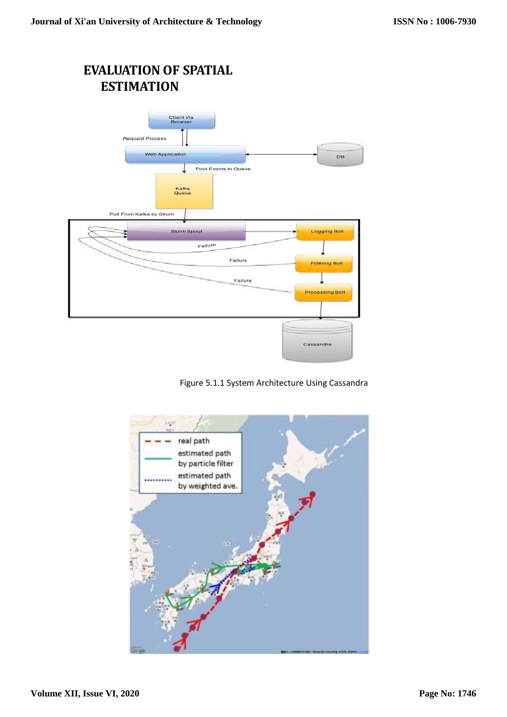## **EVALUATION OF SPATIAL ESTIMATION**



### Figure 5.1.1 System Architecture Using Cassandra

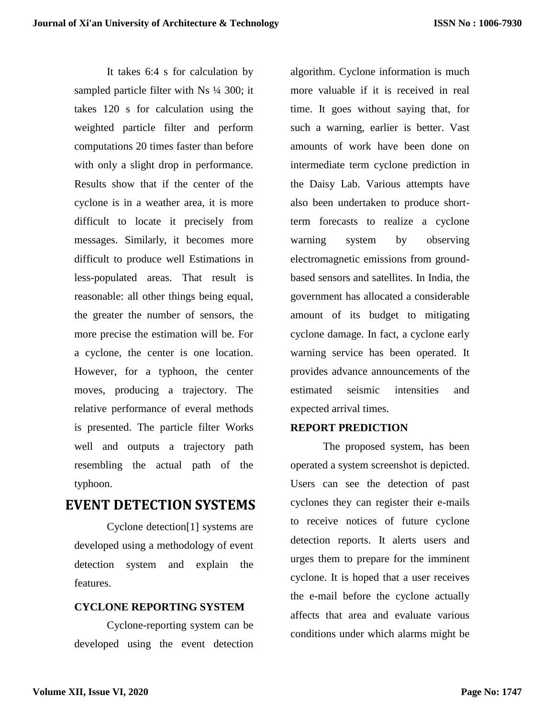It takes 6:4 s for calculation by sampled particle filter with Ns  $\frac{1}{4}$  300; it takes 120 s for calculation using the weighted particle filter and perform computations 20 times faster than before with only a slight drop in performance. Results show that if the center of the cyclone is in a weather area, it is more difficult to locate it precisely from messages. Similarly, it becomes more difficult to produce well Estimations in less-populated areas. That result is reasonable: all other things being equal, the greater the number of sensors, the more precise the estimation will be. For a cyclone, the center is one location. However, for a typhoon, the center moves, producing a trajectory. The relative performance of everal methods is presented. The particle filter Works well and outputs a trajectory path resembling the actual path of the typhoon.

## **EVENT DETECTION SYSTEMS**

Cyclone detection[1] systems are developed using a methodology of event detection system and explain the features.

### **CYCLONE REPORTING SYSTEM**

Cyclone-reporting system can be developed using the event detection algorithm. Cyclone information is much more valuable if it is received in real time. It goes without saying that, for such a warning, earlier is better. Vast amounts of work have been done on intermediate term cyclone prediction in the Daisy Lab. Various attempts have also been undertaken to produce shortterm forecasts to realize a cyclone warning system by observing electromagnetic emissions from groundbased sensors and satellites. In India, the government has allocated a considerable amount of its budget to mitigating cyclone damage. In fact, a cyclone early warning service has been operated. It provides advance announcements of the estimated seismic intensities and expected arrival times.

### **REPORT PREDICTION**

The proposed system, has been operated a system screenshot is depicted. Users can see the detection of past cyclones they can register their e-mails to receive notices of future cyclone detection reports. It alerts users and urges them to prepare for the imminent cyclone. It is hoped that a user receives the e-mail before the cyclone actually affects that area and evaluate various conditions under which alarms might be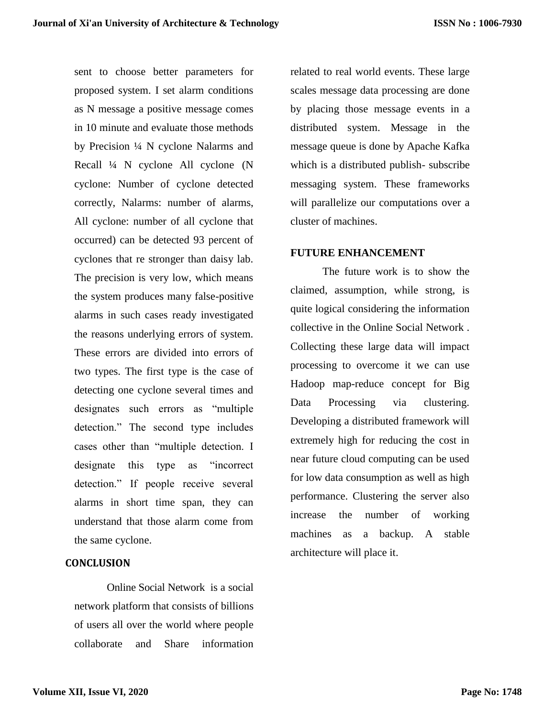sent to choose better parameters for proposed system. I set alarm conditions as N message a positive message comes in 10 minute and evaluate those methods by Precision ¼ N cyclone Nalarms and Recall ¼ N cyclone All cyclone (N cyclone: Number of cyclone detected correctly, Nalarms: number of alarms, All cyclone: number of all cyclone that occurred) can be detected 93 percent of cyclones that re stronger than daisy lab. The precision is very low, which means the system produces many false-positive alarms in such cases ready investigated the reasons underlying errors of system. These errors are divided into errors of two types. The first type is the case of detecting one cyclone several times and designates such errors as "multiple detection." The second type includes cases other than "multiple detection. I designate this type as "incorrect detection." If people receive several alarms in short time span, they can understand that those alarm come from the same cyclone.

### **CONCLUSION**

Online Social Network is a social network platform that consists of billions of users all over the world where people collaborate and Share information

related to real world events. These large scales message data processing are done by placing those message events in a distributed system. Message in the message queue is done by Apache Kafka which is a distributed publish- subscribe messaging system. These frameworks will parallelize our computations over a cluster of machines.

#### **FUTURE ENHANCEMENT**

The future work is to show the claimed, assumption, while strong, is quite logical considering the information collective in the Online Social Network . Collecting these large data will impact processing to overcome it we can use Hadoop map-reduce concept for Big Data Processing via clustering. Developing a distributed framework will extremely high for reducing the cost in near future cloud computing can be used for low data consumption as well as high performance. Clustering the server also increase the number of working machines as a backup. A stable architecture will place it.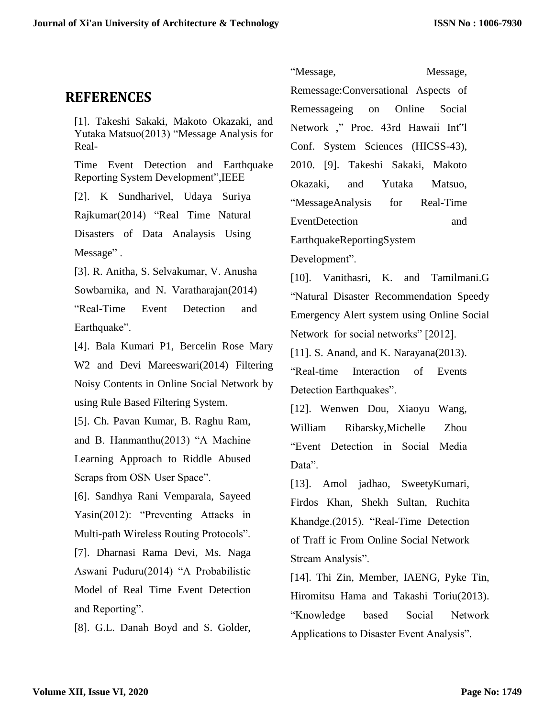### **REFERENCES**

[1]. Takeshi Sakaki, Makoto Okazaki, and Yutaka Matsuo(2013) "Message Analysis for Real-

Time Event Detection and Earthquake Reporting System Development",IEEE

[2]. K Sundharivel, Udaya Suriya Rajkumar(2014) "Real Time Natural Disasters of Data Analaysis Using Message".

[3]. R. Anitha, S. Selvakumar, V. Anusha Sowbarnika, and N. Varatharajan(2014) "Real-Time Event Detection and Earthquake".

[4]. Bala Kumari P1, Bercelin Rose Mary W2 and Devi Mareeswari(2014) Filtering Noisy Contents in Online Social Network by using Rule Based Filtering System.

[5]. Ch. Pavan Kumar, B. Raghu Ram, and B. Hanmanthu(2013) "A Machine Learning Approach to Riddle Abused Scraps from OSN User Space".

[6]. Sandhya Rani Vemparala, Sayeed Yasin(2012): "Preventing Attacks in Multi-path Wireless Routing Protocols".

[7]. Dharnasi Rama Devi, Ms. Naga Aswani Puduru(2014) "A Probabilistic Model of Real Time Event Detection and Reporting".

[8]. G.L. Danah Boyd and S. Golder,

"Message, Message, Remessage:Conversational Aspects of Remessageing on Online Social Network ," Proc. 43rd Hawaii Int"l Conf. System Sciences (HICSS-43), 2010. [9]. Takeshi Sakaki, Makoto Okazaki, and Yutaka Matsuo, "MessageAnalysis for Real-Time EventDetection and EarthquakeReportingSystem

Development".

[10]. Vanithasri, K. and Tamilmani.G "Natural Disaster Recommendation Speedy Emergency Alert system using Online Social Network for social networks" [2012].

[11]. S. Anand, and K. Narayana(2013). "Real-time Interaction of Events Detection Earthquakes".

[12]. Wenwen Dou, Xiaoyu Wang, William Ribarsky,Michelle Zhou "Event Detection in Social Media Data".

[13]. Amol jadhao, SweetyKumari, Firdos Khan, Shekh Sultan, Ruchita Khandge.(2015). "Real-Time Detection of Traff ic From Online Social Network Stream Analysis".

[14]. Thi Zin, Member, IAENG, Pyke Tin, Hiromitsu Hama and Takashi Toriu(2013). "Knowledge based Social Network Applications to Disaster Event Analysis".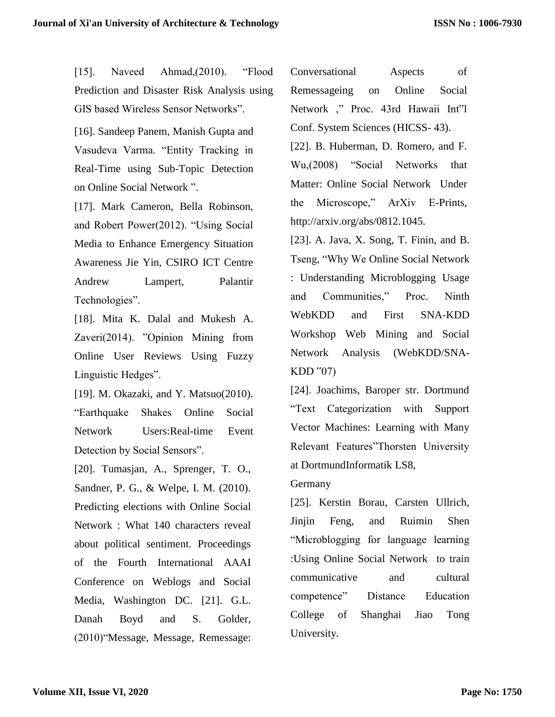[15]. Naveed Ahmad, (2010). "Flood Prediction and Disaster Risk Analysis using GIS based Wireless Sensor Networks".

[16]. Sandeep Panem, Manish Gupta and Vasudeva Varma. "Entity Tracking in Real-Time using Sub-Topic Detection on Online Social Network ".

[17]. Mark Cameron, Bella Robinson, and Robert Power(2012). "Using Social Media to Enhance Emergency Situation Awareness Jie Yin, CSIRO ICT Centre Andrew Lampert, Palantir Technologies".

[18]. Mita K. Dalal and Mukesh A. Zaveri(2014). "Opinion Mining from Online User Reviews Using Fuzzy Linguistic Hedges".

[19]. M. Okazaki, and Y. Matsuo(2010). "Earthquake Shakes Online Social Network Users:Real-time Event Detection by Social Sensors".

[20]. Tumasjan, A., Sprenger, T. O., Sandner, P. G., & Welpe, I. M. (2010). Predicting elections with Online Social Network : What 140 characters reveal about political sentiment. Proceedings of the Fourth International AAAI Conference on Weblogs and Social Media, Washington DC. [21]. G.L. Danah Boyd and S. Golder, (2010)"Message, Message, Remessage:

Conversational Aspects of Remessageing on Online Social Network ," Proc. 43rd Hawaii Int"l Conf. System Sciences (HICSS- 43).

[22]. B. Huberman, D. Romero, and F. Wu,(2008) "Social Networks that Matter: Online Social Network Under the Microscope," ArXiv E-[Prints,](http://arxiv.org/abs/0812.1045)  [http://arxiv.org/abs/0812.1045.](http://arxiv.org/abs/0812.1045)

[23]. A. Java, X. Song, T. Finin, and B. Tseng, "Why We Online Social Network : Understanding Microblogging Usage and Communities," Proc. Ninth WebKDD and First SNA-KDD Workshop Web Mining and Social Network Analysis (WebKDD/SNA-KDD "07)

[24]. Joachims, Baroper str. Dortmund "Text Categorization with Support Vector Machines: Learning with Many Relevant Features"Thorsten University at DortmundInformatik LS8,

Germany

[25]. Kerstin Borau, Carsten Ullrich, Jinjin Feng, and Ruimin Shen "Microblogging for language learning :Using Online Social Network to train communicative and cultural competence" Distance Education College of Shanghai Jiao Tong University.